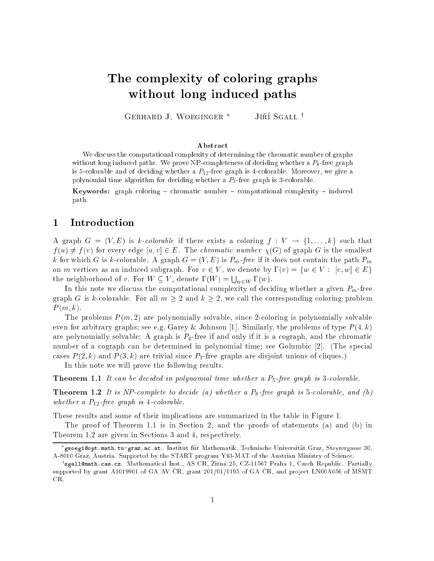# The complexity of coloring graphs with a set  $\mathbb{R}^n$  in due to be a set of  $\mathbb{R}^n$  in definition of  $\mathbb{R}^n$

Gerhard J. Woeginger JIRI ƏGALL '

#### Abstract

we discuss the computational complexity of determining the chromatic number of  $\alpha$  graphs. with a complete paths. We prove the prove number of a prove number as a procedure  $\alpha$  and  $\beta$  and  $\beta$  and  $\beta$ is 5-colorable and of deciding whether <sup>a</sup> P12-free graph is 4-colorable. Moreover, we give <sup>a</sup> polynomial time algorithm for deciding whether <sup>a</sup> P5-free graph is 3-colorable.

**Keywords:** graph coloring  $-$  chromatic number  $-$  computational complexity  $-$  induced path.

#### $\mathbf 1$ **Introduction**

A graph  $G = (V, E)$  is k-colorable if there exists a coloring  $f: V \to \{1, \ldots, k\}$  such that  $f(u) \neq f(v)$  for every edge  $[u, v] \in E$ . The *chromatic number*  $\chi(G)$  of graph G is the smallest k for which G is k-colorable. A graph  $G = (V, E)$  is  $P_m$ -free if it does not contain the path  $P_m$ on m vertices as an induced subgraph. For  $v \in V$ , we denote by  $\Gamma(v) = \{w \in V : [v, w] \in E\}$ the neighborhood of v. For  $W \subseteq V$ , denote  $\Gamma(W) = \bigcup_{w \in W} \Gamma(w)$ .

In this note we discuss the computational complexity of deciding whether a given  $P_m$ -free graph G is k-colorable. For all  $m \geq 2$  and  $k \geq 2$ , we call the corresponding coloring problem  $P(m, k)$ .

The problems  $P(m, 2)$  are polynomially solvable, since 2-coloring is polynomially solvable even for arbitrary graphs; see e.g. Garey & Johnson [1]. Similarly, the problems of type  $P(4, k)$ are polynomially solvable: A graph is  $P_4$ -free if and only if it is a cograph, and the chromatic number of a cograph can be determined in polynomial time; see Golumbic [2]. (The special cases  $P(2, k)$  and  $P(3, k)$  are trivial since  $P_3$ -free graphs are disjoint unions of cliques.)

In this note we will prove the following results.

**Theorem 1.1** It can be decided in polynomial time whether a  $P_5$ -free graph is 3-colorable.

**Theorem 1.2** It is NP-complete to decide (a) whether a  $P_8$ -free graph is 5-colorable, and (b) whether a  $P_{12}$ -free graph is 4-colorable.

These results and some of their implications are summarized in the table in Figure 1.

The proof of Theorem 1.1 is in Section 2, and the proofs of statements (a) and (b) in Theorem 1.2 are given in Sections 3 and 4, respectively.

gwoegi@opt.math.tu-graz.ac.at. Institut fur Mathematik, Technische Universitat Graz, Steyrergasse 30, A-8010 Graz, Austria. Supported by the START program Y43-MAT of the Austrian Ministry of Science.

<sup>&#</sup>x27;sgall@math.cas.cz. Mathematical Inst., AS U.R. Zitna 25, UZ-11567 Praha 1, Uzech Republic. Partially supported by grant A1019901 of GA AV ČR, grant 201/01/1195 of GA ČR, and project LN00A056 of MŠMT CR.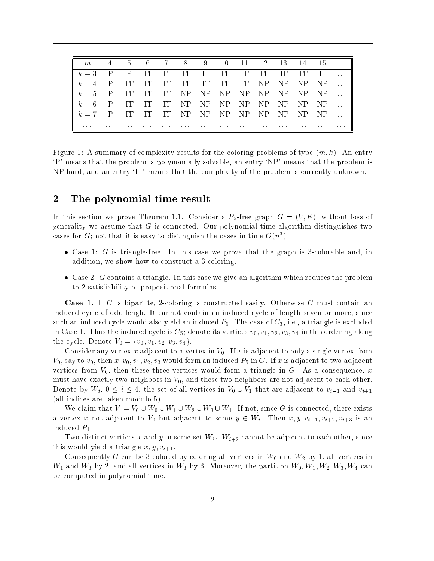|           |              |          |          |  |          | m   4 5 6 7 8 9 10 11 12 13 14 15         |          |          |  |  |
|-----------|--------------|----------|----------|--|----------|-------------------------------------------|----------|----------|--|--|
| $k=3$     | $\mathbf{P}$ | $P$ IT   |          |  |          |                                           |          |          |  |  |
| $k=4$     | $\mathsf{P}$ | $\Box$   | $\Gamma$ |  |          | IT IT IT IT IT NP NP NP $\mathbf{NP}$     |          |          |  |  |
| $k = 5$ P |              | $\Gamma$ | $\Gamma$ |  |          | IT NP NP NP NP NP NP NP NP $\ldots$       |          |          |  |  |
| $k = 6$ P |              | $\prod$  | $\prod$  |  |          | IT NP NP NP NP NP NP NP NP $\ldots$       |          |          |  |  |
| $k = 7$ P |              |          |          |  |          | IT IT IT NP NP NP NP NP NP NP NP $\ldots$ |          |          |  |  |
|           |              |          |          |  | $\cdots$ | $\cdots$                                  | $\cdots$ | $\cdots$ |  |  |

Figure 1: A summary of complexity results for the coloring problems of type  $(m, k)$ . An entry `P' means that the problem is polynomially solvable, an entry `NP' means that the problem is  $NP$ -hard, and an entry ' $\Gamma\Gamma$  means that the complexity of the problem is currently unknown.

## <sup>2</sup> The polynomial time result

In this section we prove Theorem 1.1. Consider a  $P_5$ -free graph  $G = (V, E)$ ; without loss of generality we assume that  $G$  is connected. Our polynomial time algorithm distinguishes two cases for G; not that it is easy to distinguish the cases in time  $O(n^3)$ .

- Case 1: G is triangle-free. In this case we prove that the graph is 3-colorable and, in addition, we show how to construct a 3-coloring.
- $\bullet$  Case 2: G contains a triangle. In this case we give an algorithm which reduces the problem to 2-satisability of propositional formulas.

Case 1. If G is bipartite, 2-coloring is constructed easily. Otherwise G must contain an induced cycle of odd lengh. It cannot contain an induced cycle of length seven or more, since such an induced cycle would also yield an induced  $P_5$ . The case of  $C_3$ , i.e., a triangle is excluded in Case 1. Thus the induced cycle is  $C_5$ ; denote its vertices  $v_0, v_1, v_2, v_3, v_4$  in this ordering along the cycle. Denote  $V_0 = \{v_0, v_1, v_2, v_3, v_4\}.$ 

Consider any vertex x adjacent to a vertex in  $V_0$ . If x is adjacent to only a single vertex from  $V_0$ , say to  $v_0$ , then  $x, v_0, v_1, v_2, v_3$  would form an induced  $P_5$  in G. If x is adjacent to two adjacent vertices from  $V_0$ , then these three vertices would form a triangle in G. As a consequence, x must have exactly two neighbors in  $V_0$ , and these two neighbors are not adjacent to each other. Denote by  $W_i$ ,  $0 \le i \le 4$ , the set of all vertices in  $V_0 \cup V_1$  that are adjacent to  $v_{i-1}$  and  $v_{i+1}$ (all indices are taken modulo 5).

We claim that  $V = V_0 \cup W_0 \cup W_1 \cup W_2 \cup W_3 \cup W_4$ . If not, since G is connected, there exists a vertex x not adjacent to  $V_0$  but adjacent to some  $y \in W_i$ . Then  $x, y, v_{i+1}, v_{i+2}, v_{i+3}$  is an induced P4.

Two distinct vertices x and y in some set  $W_i \cup W_{i+2}$  cannot be adjacent to each other, since this would yield a triangle  $x, y, v_{i+1}$ .

Consequently G can be 3-colored by coloring all vertices in  $W_0$  and  $W_2$  by 1, all vertices in  $W_1$  and  $W_3$  by 2, and all vertices in  $W_3$  by 3. Moreover, the partition  $W_0, W_1, W_2, W_3, W_4$  can be computed in polynomial time.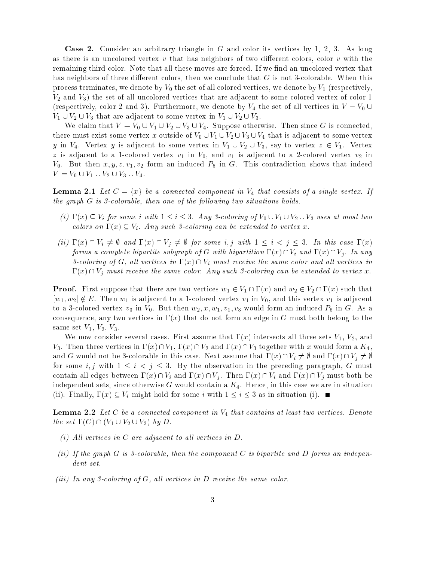Case 2. Consider an arbitrary triangle in G and color its vertices by 1, 2, 3. As long as there is an uncolored vertex  $v$  that has neighbors of two different colors, color  $v$  with the remaining third color. Note that all these moves are forced. If we find an uncolored vertex that has neighbors of three different colors, then we conclude that  $G$  is not 3-colorable. When this process terminates, we denote by  $V_0$  the set of all colored vertices, we denote by  $V_1$  (respectively,  $V_2$  and  $V_3$ ) the set of all uncolored vertices that are adjacent to some colored vertex of color 1 (respectively, color 2 and 3). Furthermore, we denote by  $V_4$  the set of all vertices in  $V - V_0 \cup$  $V_1 \cup V_2 \cup V_3$  that are adjacent to some vertex in  $V_1 \cup V_2 \cup V_3$ .

We claim that  $V = V_0 \cup V_1 \cup V_2 \cup V_3 \cup V_4$ . Suppose otherwise. Then since G is connected, there must exist some vertex x outside of  $V_0 \cup V_1 \cup V_2 \cup V_3 \cup V_4$  that is adjacent to some vertex y in  $V_4$ . Vertex y is adjacent to some vertex in  $V_1 \cup V_2 \cup V_3$ , say to vertex  $z \in V_1$ . Vertex z is adjacent to a 1-colored vertex  $v_1$  in  $V_0$ , and  $v_1$  is adjacent to a 2-colored vertex  $v_2$  in  $V_0$ . But then  $x, y, z, v_1, v_2$  form an induced  $P_5$  in G. This contradiction shows that indeed  $V = V_0 \cup V_1 \cup V_2 \cup V_3 \cup V_4.$ 

**Lemma 2.1** Let  $C = \{x\}$  be a connected component in  $V_4$  that consists of a single vertex. If the graph  $G$  is 3-colorable, then one of the following two situations holds.

- (i)  $\Gamma(x) \subseteq V_i$  for some i with  $1 \leq i \leq 3$ . Any 3-coloring of  $V_0 \cup V_1 \cup V_2 \cup V_3$  uses at most two colors on  $\Gamma(x) \subset V_i$ . Any such 3-coloring can be extended to vertex x.
- (ii)  $\Gamma(x) \cap V_i \neq \emptyset$  and  $\Gamma(x) \cap V_j \neq \emptyset$  for some i, j with  $1 \leq i < j \leq 3$ . In this case  $\Gamma(x)$ forms a complete bipartite subgraph of G with bipartition  $\Gamma(x) \cap V_i$  and  $\Gamma(x) \cap V_j$ . In any 3-coloring of G, all vertices in  $\Gamma(x) \cap V_i$  must receive the same color and all vertices in  $\Gamma(x) \cap V_i$  must receive the same color. Any such 3-coloring can be extended to vertex x.

**Proof.** First suppose that there are two vertices  $w_1 \in V_1 \cap \Gamma(x)$  and  $w_2 \in V_2 \cap \Gamma(x)$  such that  $[w_1, w_2] \notin E$ . Then  $w_1$  is adjacent to a 1-colored vertex  $v_1$  in  $V_0$ , and this vertex  $v_1$  is adjacent to a 3-colored vertex  $v_3$  in  $V_0$ . But then  $w_2, x, w_1, v_1, v_3$  would form an induced  $P_5$  in G. As a consequence, any two vertices in  $\Gamma(x)$  that do not form an edge in G must both belong to the same set  $V_1$ ,  $V_2$ ,  $V_3$ .

We now consider several cases. First assume that  $\Gamma(x)$  intersects all three sets  $V_1$ ,  $V_2$ , and V<sub>3</sub>. Then three vertices in  $\Gamma(x) \cap V_1$ ,  $\Gamma(x) \cap V_2$  and  $\Gamma(x) \cap V_3$  together with x would form a  $K_4$ , and G would not be 3-colorable in this case. Next assume that  $\Gamma(x) \cap V_i \neq \emptyset$  and  $\Gamma(x) \cap V_j \neq \emptyset$ for some i, j with  $1 \leq i < j \leq 3$ . By the observation in the preceding paragraph, G must contain all edges between  $\Gamma(x) \cap V_i$  and  $\Gamma(x) \cap V_j$ . Then  $\Gamma(x) \cap V_i$  and  $\Gamma(x) \cap V_j$  must both be independent sets, since otherwise  $G$  would contain a  $K_4$ . Hence, in this case we are in situation (ii). Finally,  $\Gamma(x) \subseteq V_i$  might hold for some i with  $1 \leq i \leq 3$  as in situation (i).

**Lemma 2.2** Let C be a connected component in  $V_4$  that contains at least two vertices. Denote the set  $\Gamma(C) \cap (V_1 \cup V_2 \cup V_3)$  by D.

- (i) All vertices in C are adjacent to all vertices in  $D$ .
- (ii) If the graph  $G$  is 3-colorable, then the component  $C$  is bipartite and  $D$  forms an independent set.
- (iii) In any 3-coloring of  $G$ , all vertices in  $D$  receive the same color.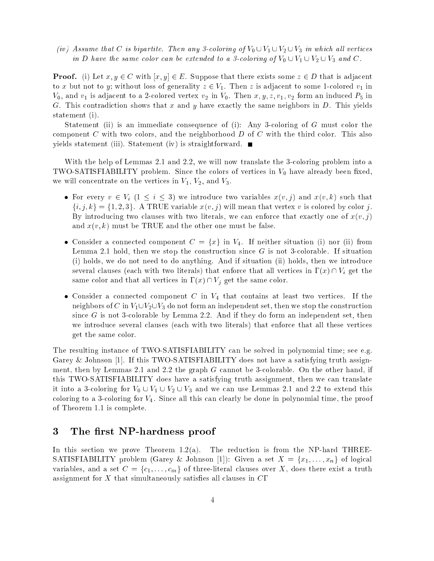(iv) Assume that C is bipartite. Then any 3-coloring of  $V_0 \cup V_1 \cup V_2 \cup V_3$  in which all vertices in D have the same color can be extended to a 3-coloring of  $V_0 \cup V_1 \cup V_2 \cup V_3$  and C.

**Proof.** (i) Let  $x, y \in C$  with  $[x, y] \in E$ . Suppose that there exists some  $z \in D$  that is adjacent to x but not to y; without loss of generality  $z \in V_1$ . Then z is adjacent to some 1-colored  $v_1$  in  $V_0$ , and  $v_1$  is adjacent to a 2-colored vertex  $v_2$  in  $V_0$ . Then  $x, y, z, v_1, v_2$  form an induced  $P_5$  in G. This contradiction shows that  $x$  and  $y$  have exactly the same neighbors in  $D$ . This yields statement (i).

Statement (ii) is an immediate consequence of (i): Any 3-coloring of G must color the component C with two colors, and the neighborhood  $D$  of C with the third color. This also yields statement (iii). Statement (iv) is straightforward.  $\blacksquare$ 

With the help of Lemmas 2.1 and 2.2, we will now translate the 3-coloring problem into a TWO-SATISFIABILITY problem. Since the colors of vertices in  $V_0$  have already been fixed, we will concentrate on the vertices in  $V_1$ ,  $V_2$ , and  $V_3$ .

- For every  $v \in V_i$   $(1 \le i \le 3)$  we introduce two variables  $x(v, j)$  and  $x(v, k)$  such that  $\{i, j, k\} = \{1, 2, 3\}.$  A TRUE variable  $x(v, j)$  will mean that vertex v is colored by color j. By introducing two clauses with two literals, we can enforce that exactly one of  $x(v, j)$ and  $x(v, k)$  must be TRUE and the other one must be false.
- Consider a connected component  $C = \{x\}$  in  $V_4$ . If neither situation (i) nor (ii) from Lemma 2.1 hold, then we stop the construction since  $G$  is not 3-colorable. If situation (i) holds, we do not need to do anything. And if situation (ii) holds, then we introduce several clauses (each with two literals) that enforce that all vertices in  $\Gamma(x) \cap V_i$  get the same color and that all vertices in  $\Gamma(x) \cap V_j$  get the same color.
- Consider a connected component C in  $V_4$  that contains at least two vertices. If the neighbors of C in  $V_1\cup V_2\cup V_3$  do not form an independent set, then we stop the construction since  $G$  is not 3-colorable by Lemma 2.2. And if they do form an independent set, then we introduce several clauses (each with two literals) that enforce that all these vertices get the same color.

The resulting instance of TWO-SATISFIABILITY can be solved in polynomial time; see e.g. Garey & Johnson [1]. If this TWO-SATISFIABILITY does not have a satisfying truth assignment, then by Lemmas 2.1 and 2.2 the graph G cannot be 3-colorable. On the other hand, if this TWO-SATISFIABILITY does have a satisfying truth assignment, then we can translate it into a 3-coloring for  $V_0 \cup V_1 \cup V_2 \cup V_3$  and we can use Lemmas 2.1 and 2.2 to extend this coloring to a 3-coloring for  $V_4$ . Since all this can clearly be done in polynomial time, the proof of Theorem 1.1 is complete.

## 3 The first NP-hardness proof

In this section we prove Theorem  $1.2(a)$ . The reduction is from the NP-hard THREE-SATISFIABILITY problem (Garey & Johnson [1]): Given a set  $X = \{x_1, \ldots, x_n\}$  of logical variables, and a set  $C = \{c_1, \ldots, c_m\}$  of three-literal clauses over X, does there exist a truth assignment for  $X$  that simultaneously satisfies all clauses in  $C\Gamma$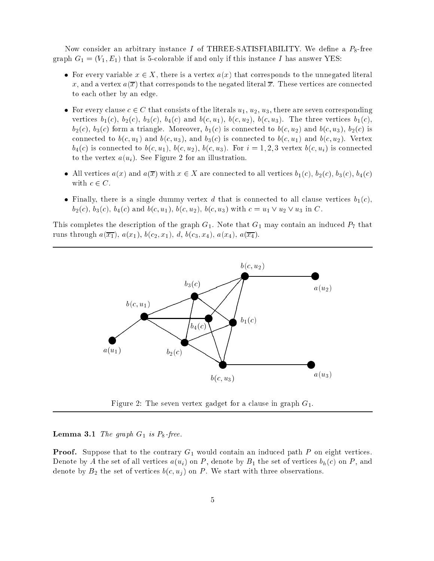Now consider an arbitrary instance I of THREE-SATISFIABILITY. We define a  $P_8$ -free graph  $G_1 = (V_1, E_1)$  that is 5-colorable if and only if this instance I has answer YES:

- For every variable  $x \in X$ , there is a vertex  $a(x)$  that corresponds to the unnegated literal x, and a vertex  $a(\overline{x})$  that corresponds to the negated literal  $\overline{x}$ . These vertices are connected to each other by an edge.
- For every clause  $c \in C$  that consists of the literals  $u_1, u_2, u_3$ , there are seven corresponding vertices  $b_1(c)$ ,  $b_2(c)$ ,  $b_3(c)$ ,  $b_4(c)$  and  $b(c, u_1)$ ,  $b(c, u_2)$ ,  $b(c, u_3)$ . The three vertices  $b_1(c)$ ,  $b_2(c)$ ,  $b_3(c)$  form a triangle. Moreover,  $b_1(c)$  is connected to  $b(c, u_2)$  and  $b(c, u_3)$ ,  $b_2(c)$  is connected to  $b(c, u_1)$  and  $b(c, u_3)$ , and  $b_3(c)$  is connected to  $b(c, u_1)$  and  $b(c, u_2)$ . Vertex  $b_4(c)$  is connected to  $b(c, u_1)$ ,  $b(c, u_2)$ ,  $b(c, u_3)$ . For  $i = 1, 2, 3$  vertex  $b(c, u_i)$  is connected to the vertex  $a(u_i)$ . See Figure 2 for an illustration.
- All vertices  $a(x)$  and  $a(\overline{x})$  with  $x \in X$  are connected to all vertices  $b_1(c), b_2(c), b_3(c), b_4(c)$ with  $c \in C$ .
- Finally, there is a single dummy vertex d that is connected to all clause vertices  $b_1(c)$ ,  $b_2(c)$ ,  $b_3(c)$ ,  $b_4(c)$  and  $b(c, u_1)$ ,  $b(c, u_2)$ ,  $b(c, u_3)$  with  $c = u_1 \vee u_2 \vee u_3$  in C.

This completes the description of the graph  $G_1$ . Note that  $G_1$  may contain an induced  $P_7$  that runs through  $a(\overline{x_1})$ ,  $a(x_1)$ ,  $b(c_2, x_1)$ ,  $d$ ,  $b(c_3, x_4)$ ,  $a(x_4)$ ,  $a(\overline{x_4})$ .



Figure 2: The seven vertex gadget for a clause in graph  $G_1$ .

**Lemma 3.1** The graph  $G_1$  is  $P_8$ -free.

**Proof.** Suppose that to the contrary  $G_1$  would contain an induced path P on eight vertices. Denote by A the set of all vertices  $a(u_i)$  on P, denote by  $B_1$  the set of vertices  $b_h(c)$  on P, and denote by  $B_2$  the set of vertices  $b(c, u_i)$  on P. We start with three observations.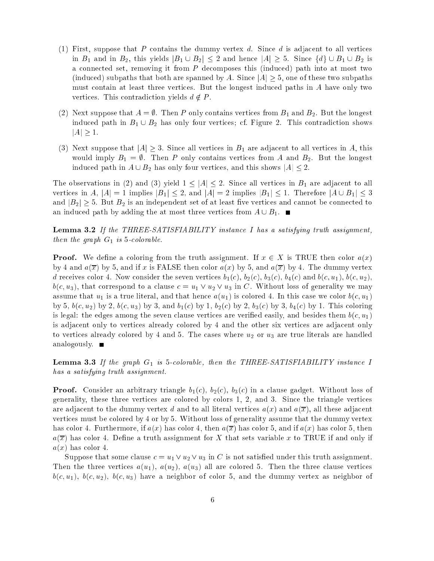- (1) First, suppose that P contains the dummy vertex d. Since d is adjacent to all vertices in  $B_1$  and in  $B_2$ , this yields  $|B_1 \cup B_2| \leq 2$  and hence  $|A| \geq 5$ . Since  $\{d\} \cup B_1 \cup B_2$  is a connected set, removing it from P decomposes this (induced) path into at most two (induced) subpaths that both are spanned by A. Since  $|A| \geq 5$ , one of these two subpaths must contain at least three vertices. But the longest induced paths in A have only two vertices. This contradiction yields  $d \notin P$ .
- (2) Next suppose that  $A = \emptyset$ . Then P only contains vertices from  $B_1$  and  $B_2$ . But the longest induced path in  $B_1 \cup B_2$  has only four vertices; cf. Figure 2. This contradiction shows  $|A|\geq 1.$
- (3) Next suppose that  $|A| \geq 3$ . Since all vertices in  $B_1$  are adjacent to all vertices in A, this would imply  $B_1 = \emptyset$ . Then P only contains vertices from A and  $B_2$ . But the longest induced path in  $A \cup B_2$  has only four vertices, and this shows  $|A| \leq 2$ .

The observations in (2) and (3) yield  $1 \leq |A| \leq 2$ . Since all vertices in  $B_1$  are adjacent to all vertices in A,  $|A|=1$  implies  $|B_1|\leq 2$ , and  $|A|=2$  implies  $|B_1|\leq 1$ . Therefore  $|A\cup B_1|\leq 3$ and  $|B_2| \geq 5$ . But  $B_2$  is an independent set of at least five vertices and cannot be connected to an induced path by adding the at most three vertices from  $A \cup B_1$ .

**Lemma 3.2** If the THREE-SATISFIABILITY instance I has a satisfying truth assignment, then the graph  $G_1$  is 5-colorable.

**Proof.** We define a coloring from the truth assignment. If  $x \in X$  is TRUE then color  $a(x)$ by 4 and  $a(\overline{x})$  by 5, and if x is FALSE then color  $a(x)$  by 5, and  $a(\overline{x})$  by 4. The dummy vertex d receives color 4. Now consider the seven vertices  $b_1(c)$ ,  $b_2(c)$ ,  $b_3(c)$ ,  $b_4(c)$  and  $b(c, u_1)$ ,  $b(c, u_2)$ ,  $b(c, u_3)$ , that correspond to a clause  $c = u_1 \vee u_2 \vee u_3$  in C. Without loss of generality we may assume that  $u_1$  is a true literal, and that hence  $a(u_1)$  is colored 4. In this case we color  $b(c, u_1)$ by 5,  $b(c, u_2)$  by 2,  $b(c, u_3)$  by 3, and  $b_1(c)$  by 1,  $b_2(c)$  by 2,  $b_3(c)$  by 3,  $b_4(c)$  by 1. This coloring is legal: the edges among the seven clause vertices are verified easily, and besides them  $b(c, u_1)$ is adjacent only to vertices already colored by 4 and the other six vertices are adjacent only to vertices already colored by 4 and 5. The cases where  $u_2$  or  $u_3$  are true literals are handled analogously. ■

**Lemma 3.3** If the graph  $G_1$  is 5-colorable, then the THREE-SATISFIABILITY instance I has a satisfying truth assignment.

**Proof.** Consider an arbitrary triangle  $b_1(c)$ ,  $b_2(c)$ ,  $b_3(c)$  in a clause gadget. Without loss of generality, these three vertices are colored by colors 1, 2, and 3. Since the triangle vertices are adjacent to the dummy vertex d and to all literal vertices  $a(x)$  and  $a(\overline{x})$ , all these adjacent vertices must be colored by 4 or by 5. Without loss of generality assume that the dummy vertex has color 4. Furthermore, if  $a(x)$  has color 4, then  $a(\overline{x})$  has color 5, and if  $a(x)$  has color 5, then  $a(\overline{x})$  has color 4. Define a truth assignment for X that sets variable x to TRUE if and only if  $a(x)$  has color 4.

Suppose that some clause  $c = u_1 \vee u_2 \vee u_3$  in C is not satisfied under this truth assignment. Then the three vertices  $a(u_1)$ ,  $a(u_2)$ ,  $a(u_3)$  all are colored 5. Then the three clause vertices  $b(c, u_1)$ ,  $b(c, u_2)$ ,  $b(c, u_3)$  have a neighbor of color 5, and the dummy vertex as neighbor of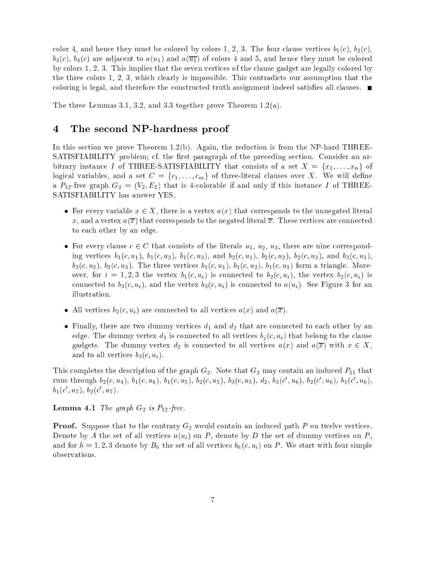color 4, and hence they must be colored by colors 1, 2, 3. The four clause vertices  $b_1(c)$ ,  $b_2(c)$ ,  $b_3(c)$ ,  $b_4(c)$  are adjacent to  $a(u_1)$  and  $a(\overline{u_1})$  of colors 4 and 5, and hence they must be colored by colors 1, 2, 3. This implies that the seven vertices of the clause gadget are legally colored by the three colors 1, 2, 3, which clearly is impossible. This contradicts our assumption that the coloring is legal, and therefore the constructed truth assignment indeed satisfies all clauses.  $\blacksquare$ 

The three Lemmas 3.1, 3.2, and 3.3 together prove Theorem 1.2(a).

## <sup>4</sup> The second NP-hardness proof

In this section we prove Theorem 1.2(b). Again, the reduction is from the NP-hard THREE-SATISFIABILITY problem; cf. the first paragraph of the preceding section. Consider an arbitrary instance I of THREE-SATISFIABILITY that consists of a set  $X = \{x_1, \ldots, x_n\}$  of logical variables, and a set  $C = \{c_1, \ldots, c_m\}$  of three-literal clauses over X. We will define a  $P_{12}$ -free graph  $G_2 = (V_2, E_2)$  that is 4-colorable if and only if this instance I of THREE-SATISFIABILITY has answer YES.

- For every variable  $x \in X$ , there is a vertex  $a(x)$  that corresponds to the unnegated literal x, and a vertex  $a(\overline{x})$  that corresponds to the negated literal  $\overline{x}$ . These vertices are connected to each other by an edge.
- For every clause  $c \in C$  that consists of the literals  $u_1, u_2, u_3$ , there are nine corresponding vertices  $b_1(c, u_1)$ ,  $b_1(c, u_2)$ ,  $b_1(c, u_3)$ , and  $b_2(c, u_1)$ ,  $b_2(c, u_2)$ ,  $b_2(c, u_3)$ , and  $b_3(c, u_1)$ ,  $b_3(c, u_2)$ ,  $b_3(c, u_3)$ . The three vertices  $b_1(c, u_1)$ ,  $b_1(c, u_2)$ ,  $b_1(c, u_3)$  form a triangle. Moreover, for  $i = 1, 2, 3$  the vertex  $b_1(c, u_i)$  is connected to  $b_2(c, u_i)$ , the vertex  $b_2(c, u_i)$  is connected to  $b_3(c, u_i)$ , and the vertex  $b_3(c, u_i)$  is connected to  $a(u_i)$ . See Figure 3 for an illustration.
- All vertices  $b_2(c, u_i)$  are connected to all vertices  $a(x)$  and  $a(\overline{x})$ .
- Finally, there are two dummy vertices  $d_1$  and  $d_2$  that are connected to each other by an edge. The dummy vertex  $d_1$  is connected to all vertices  $b_j(c, u_i)$  that belong to the clause gadgets. The dummy vertex  $d_2$  is connected to all vertices  $a(x)$  and  $a(\overline{x})$  with  $x \in X$ , and to all vertices  $b_3(c, u_i)$ .

This completes the description of the graph  $G_2$ . Note that  $G_2$  may contain an induced  $P_{11}$  that  ${\rm runs \ through} \ b_2(c, u_4), \ b_1(c, u_4), \ b_1(c, u_5), \ b_2(c, u_5), \ b_3(c, u_5), \ d_2, \ b_3(c', u_6), \ b_2(c', u_6), \ b_1(c', u_6),$  $b_1(c', u_7), b_2(c', u_7).$ 

**Lemma 4.1** The graph  $G_2$  is  $P_{12}$ -free.

**Proof.** Suppose that to the contrary  $G_2$  would contain an induced path  $P$  on twelve vertices. Denote by A the set of all vertices  $a(u_i)$  on P, denote by D the set of dummy vertices on P, and for  $h = 1, 2, 3$  denote by  $B_h$  the set of all vertices  $b_h(c, u_i)$  on P. We start with four simple observations.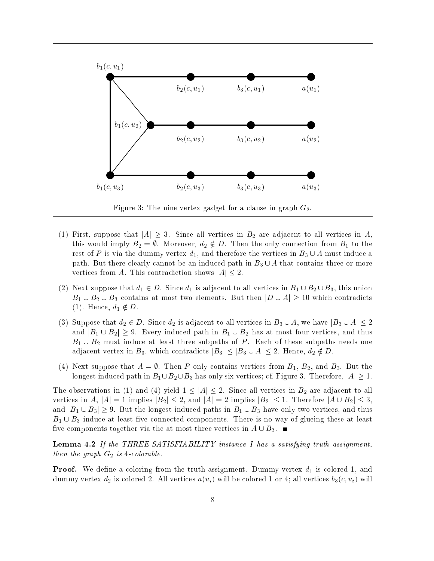

Figure 3: The nine vertex gadget for a clause in graph  $G_2$ .

- (1) First, suppose that  $|A| \geq 3$ . Since all vertices in  $B_2$  are adjacent to all vertices in A, this would imply  $B_2 = \emptyset$ . Moreover,  $d_2 \notin D$ . Then the only connection from  $B_1$  to the rest of P is via the dummy vertex  $d_1$ , and therefore the vertices in  $B_3 \cup A$  must induce a path. But there clearly cannot be an induced path in  $B_3 \cup A$  that contains three or more vertices from A. This contradiction shows  $|A| \leq 2$ .
- (2) Next suppose that  $d_1 \in D$ . Since  $d_1$  is adjacent to all vertices in  $B_1 \cup B_2 \cup B_3$ , this union  $B_1 \cup B_2 \cup B_3$  contains at most two elements. But then  $|D \cup A| \geq 10$  which contradicts (1). Hence,  $d_1 \notin D$ .
- (3) Suppose that  $d_2 \in D$ . Since  $d_2$  is adjacent to all vertices in  $B_3 \cup A$ , we have  $|B_3 \cup A| \leq 2$ and  $|B_1 \cup B_2| \geq 9$ . Every induced path in  $B_1 \cup B_2$  has at most four vertices, and thus  $B_1 \cup B_2$  must induce at least three subpaths of P. Each of these subpaths needs one adjacent vertex in  $B_3$ , which contradicts  $|B_3| \leq |B_3 \cup A| \leq 2$ . Hence,  $d_2 \notin D$ .
- (4) Next suppose that  $A = \emptyset$ . Then P only contains vertices from  $B_1$ ,  $B_2$ , and  $B_3$ . But the longest induced path in  $B_1 \cup B_2 \cup B_3$  has only six vertices; cf. Figure 3. Therefore,  $|A| \geq 1$ .

The observations in (1) and (4) yield  $1 \leq |A| \leq 2$ . Since all vertices in  $B_2$  are adjacent to all vertices in A,  $|A| = 1$  implies  $|B_2| \le 2$ , and  $|A| = 2$  implies  $|B_2| \le 1$ . Therefore  $|A \cup B_2| \le 3$ , and  $|B_1 \cup B_3| \geq 9$ . But the longest induced paths in  $B_1 \cup B_3$  have only two vertices, and thus  $B_1 \cup B_3$  induce at least five connected components. There is no way of glueing these at least five components together via the at most three vertices in  $A \cup B_2$ .

**Lemma 4.2** If the THREE-SATISFIABILITY instance I has a satisfying truth assignment, then the graph  $G_2$  is 4-colorable.

**Proof.** We define a coloring from the truth assignment. Dummy vertex  $d_1$  is colored 1, and dummy vertex  $d_2$  is colored 2. All vertices  $a(u_i)$  will be colored 1 or 4; all vertices  $b_3(c, u_i)$  will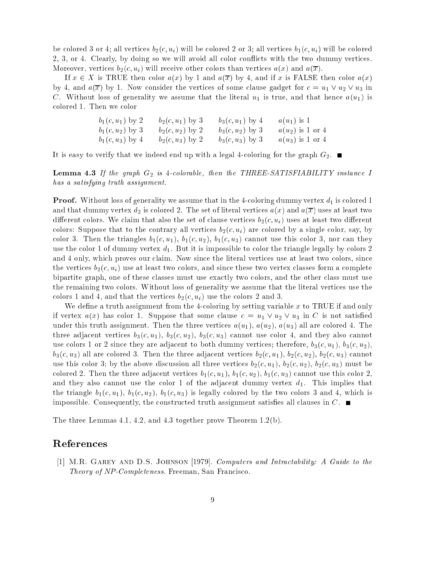be colored 3 or 4; all vertices  $b_2(c, u_i)$  will be colored 2 or 3; all vertices  $b_1(c, u_i)$  will be colored 2, 3, or 4. Clearly, by doing so we will avoid all color con
icts with the two dummy vertices. Moreover, vertices  $b_2(c, u_i)$  will receive other colors than vertices  $a(x)$  and  $a(\overline{x})$ .

If  $x \in X$  is TRUE then color  $a(x)$  by 1 and  $a(\overline{x})$  by 4, and if x is FALSE then color  $a(x)$ by 4, and  $a(\overline{x})$  by 1. Now consider the vertices of some clause gadget for  $c = u_1 \vee u_2 \vee u_3$  in C. Without loss of generality we assume that the literal  $u_1$  is true, and that hence  $a(u_1)$  is colored 1. Then we color

> $b_1(c, u_1)$  by 2 b<sub>2</sub>(c, u<sub>1</sub>) by 3 b<sub>3</sub>(c, u<sub>1</sub>) by 4 a(u<sub>1</sub>) is 1  $b_1(c,u_2)$  by 3 b<sub>2</sub> $(c,u_2)$  by 2 b<sub>3</sub> $(c,u_2)$  by 3 a(u<sub>2</sub>) is 1 or 4  $b_1(c, u_3)$  by  $4$  b<sub>2</sub> $(c, u_3)$  by 2 b<sub>3</sub> $(c, u_3)$  by 3 a(u<sub>3</sub>) is 1 or 4

It is easy to verify that we indeed end up with a legal 4-coloring for the graph  $G_2$ .

**Lemma 4.3** If the graph  $G_2$  is 4-colorable, then the THREE-SATISFIABILITY instance I has a satisfying truth assignment.

**Proof.** Without loss of generality we assume that in the 4-coloring dummy vertex  $d_1$  is colored 1 and that dummy vertex  $d_2$  is colored 2. The set of literal vertices  $a(x)$  and  $a(\overline{x})$  uses at least two different colors. We claim that also the set of clause vertices  $b_2(c, u_i)$  uses at least two different colors: Suppose that to the contrary all vertices  $b_2(c, u_i)$  are colored by a single color, say, by color 3. Then the triangles  $b_1(c, u_1)$ ,  $b_1(c, u_2)$ ,  $b_1(c, u_3)$  cannot use this color 3, nor can they use the color 1 of dummy vertex  $d_1$ . But it is impossible to color the triangle legally by colors 2 and 4 only, which proves our claim. Now since the literal vertices use at least two colors, since the vertices  $b_2(c, u_i)$  use at least two colors, and since these two vertex classes form a complete bipartite graph, one of these classes must use exactly two colors, and the other class must use the remaining two colors. Without loss of generality we assume that the literal vertices use the colors 1 and 4, and that the vertices  $b_2(c, u_i)$  use the colors 2 and 3.

We define a truth assignment from the 4-coloring by setting variable  $x$  to TRUE if and only if vertex  $a(x)$  has color 1. Suppose that some clause  $c = u_1 \vee u_2 \vee u_3$  in C is not satisfied under this truth assignment. Then the three vertices  $a(u_1), a(u_2), a(u_3)$  all are colored 4. The three adjacent vertices  $b_3(c, u_1)$ ,  $b_3(c, u_2)$ ,  $b_3(c, u_3)$  cannot use color 4, and they also cannot use colors 1 or 2 since they are adjacent to both dummy vertices; therefore,  $b_3(c, u_1)$ ,  $b_3(c, u_2)$ ,  $b_3(c, u_3)$  all are colored 3. Then the three adjacent vertices  $b_2(c, u_1)$ ,  $b_2(c, u_2)$ ,  $b_2(c, u_3)$  cannot use this color 3; by the above discussion all three vertices  $b_2(c, u_1)$ ,  $b_2(c, u_2)$ ,  $b_2(c, u_3)$  must be colored 2. Then the three adjacent vertices  $b_1(c, u_1)$ ,  $b_1(c, u_2)$ ,  $b_1(c, u_3)$  cannot use this color 2, and they also cannot use the color 1 of the adjacent dummy vertex  $d_1$ . This implies that the triangle  $b_1(c, u_1)$ ,  $b_1(c, u_2)$ ,  $b_1(c, u_3)$  is legally colored by the two colors 3 and 4, which is impossible. Consequently, the constructed truth assignment satisfies all clauses in  $C$ .

The three Lemmas 4.1, 4.2, and 4.3 together prove Theorem 1.2(b).

## References

[1] M.R. Garey and D.S. Johnson [1979]. Computers and Intractability: A Guide to the Theory of NP-Completeness. Freeman, San Francisco.